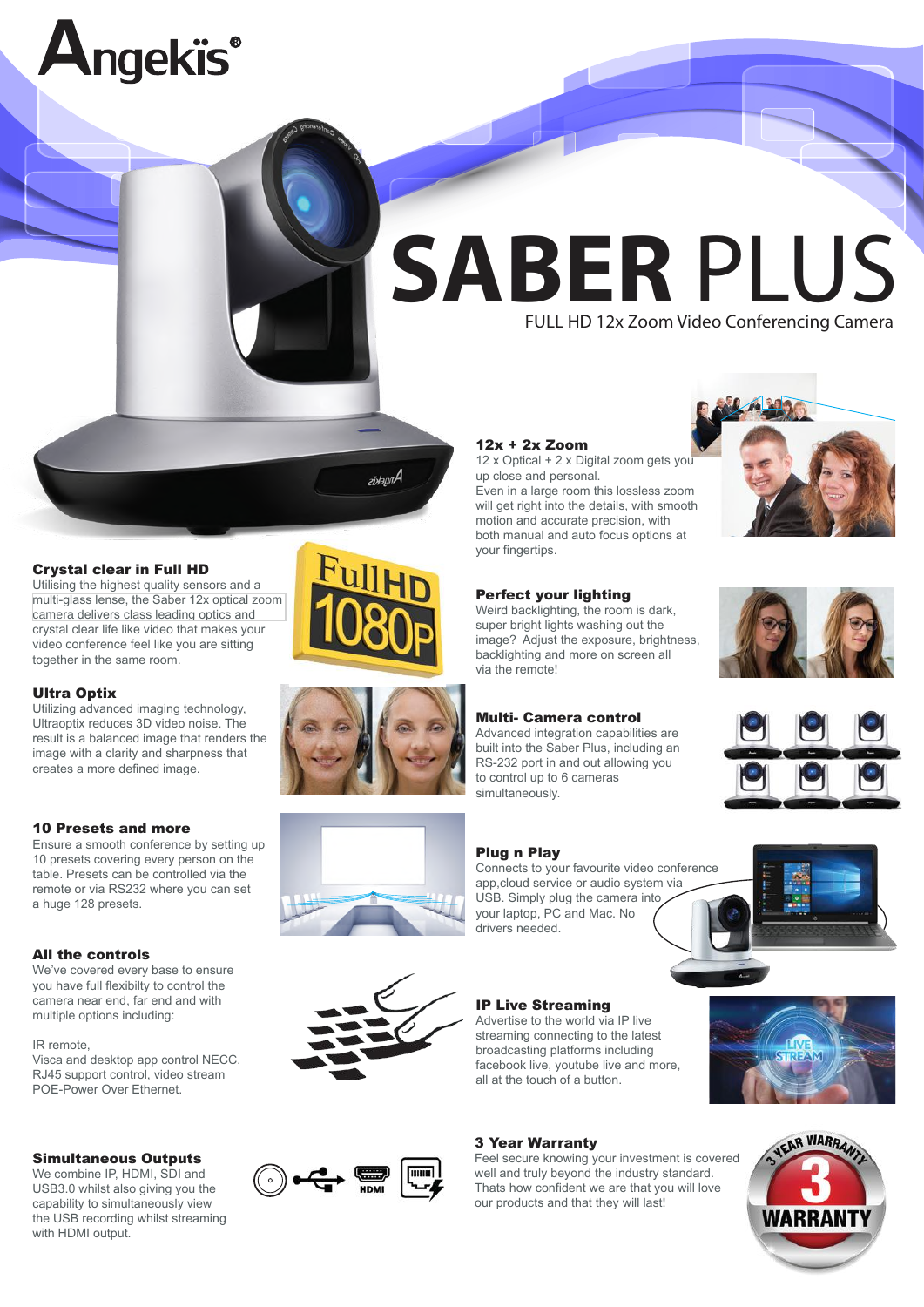

# **SABER** PLUS FULL HD 12x Zoom Video Conferencing Camera

# Crystal clear in Full HD

Utilising the highest quality sensors and a [multi-glass lense, the Saber](https://www.angekis.com/products/saber-plus-usb-3.0-ip-ptz-camera/) 12x optical zoom camera delivers class leading optics and crystal clear life like video that makes your video conference feel like you are sitting together in the same room.

#### Ultra Optix

Utilizing advanced imaging technology, Ultraoptix reduces 3D video noise. The result is a balanced image that renders the image with a clarity and sharpness that creates a more defined image.

# 10 Presets and more

Ensure a smooth conference by setting up 10 presets covering every person on the table. Presets can be controlled via the remote or via RS232 where you can set a huge 128 presets.

#### All the controls

We've covered every base to ensure you have full flexibilty to control the camera near end, far end and with multiple options including:

#### IR remote,

Visca and desktop app control NECC. RJ45 support control, video stream POE-Power Over Ethernet.

#### Simultaneous Outputs

We combine IP, HDMI, SDI and USB3.0 whilst also giving you the capability to simultaneously view the USB recording whilst streaming with HDMI output.

# Perfect your lighting Weird backlighting, the room is dark,

12x + 2x Zoom

up close and personal.

your fingertips.

super bright lights washing out the image? Adjust the exposure, brightness, backlighting and more on screen all via the remote!

motion and accurate precision, with both manual and auto focus options at

# Multi- Camera control

Advanced integration capabilities are built into the Saber Plus, including an RS-232 port in and out allowing you to control up to 6 cameras simultaneously.

#### Plug n Play

Connects to your favourite video conference app,cloud service or audio system via USB. Simply plug the camera into your laptop, PC and Mac. No drivers needed.

# IP Live Streaming

Advertise to the world via IP live streaming connecting to the latest broadcasting platforms including facebook live, youtube live and more, all at the touch of a button.

# 3 Year Warranty

Feel secure knowing your investment is covered well and truly beyond the industry standard. Thats how confident we are that you will love our products and that they will last!















Angekis